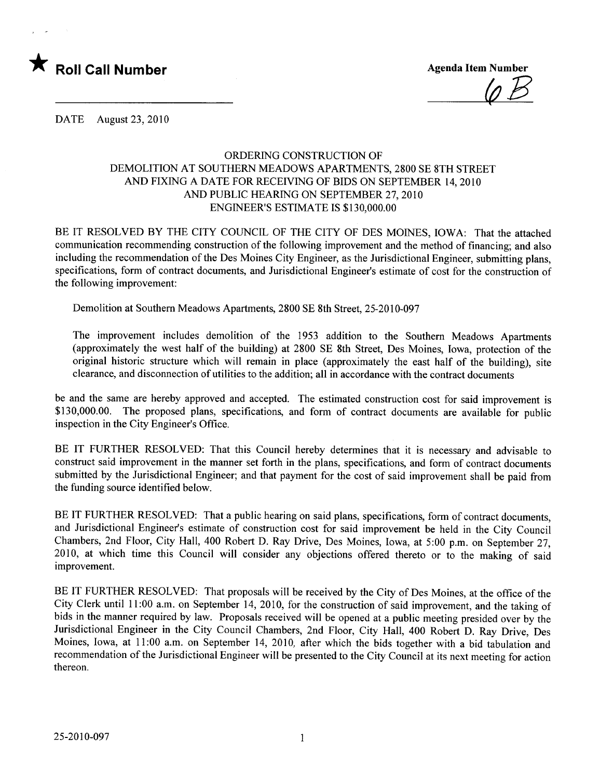

 $\varphi B$ 

DATE August 23, 2010

## ORDERING CONSTRUCTION OF DEMOLITION AT SOUTHERN MEADOWS APARTMENTS, 2800 SE 8TH STREET AND FIXING A DATE FOR RECEIVING OF BIDS ON SEPTEMBER 14, 2010 AND PUBLIC HEARING ON SEPTEMBER 27, 2010 ENGINEER'S ESTIMATE IS \$130,000.00

BE IT RESOLVED BY THE CITY COUNCIL OF THE CITY OF DES MOINES, IOWA: That the attached communication recommending construction of the following improvement and the method of financing; and also including the recommendation of the Des Moines City Engineer, as the Jurisdictional Engineer, submitting plans, specifications, form of contract documents, and Jurisdictional Engineer's estimate of cost for the construction of the following improvement:

Demolition at Southern Meadows Apartments, 2800 SE 8th Street, 25-2010-097

The improvement includes demolition of the 1953 addition to the Southern Meadows Apartments (approximately the west half of the building) at 2800 SE 8th Street, Des Moines, Iowa, protection of the original historic structure which will remain in place (approximately the east half of the building), site clearance, and disconnection of utilities to the addition; all in accordance with the contract documents

be and the same are hereby approved and accepted. The estimated construction cost for said improvement is \$130,000.00. The proposed plans, specifications, and form of contract documents are available for public inspection in the City Engineer's Office.

BE IT FURTHER RESOLVED: That this Council hereby determines that it is necessary and advisable to construct said improvement in the manner set forth in the plans, specifications, and form of contract documents submitted by the Jurisdictional Engineer; and that payment for the cost of said improvement shall be paid from the funding source identified below.

BE IT FURTHER RESOLVED: That a public hearing on said plans, specifications, form of contract documents, and Jurisdictional Engineer's estimate of construction cost for said improvement be held in the City Council Chambers, 2nd Floor, City Hall, 400 Robert D. Ray Drive, Des Moines, Iowa, at 5:00 p.m. on September 27, 2010, at which time this Council will consider any objections offered thereto or to the making of said improvement.

BE IT FURTHER RESOLVED: That proposals will be received by the City of Des Moines, at the office of the City Clerk until 11:00 a.m. on September 14,2010, for the construction of said improvement, and the taking of bids in the manner required by law. Proposals received will be opened at a public meeting presided over by the Jurisdictional Engineer in the City Council Chambers, 2nd Floor, City Hall, 400 Robert D. Ray Drive, Des Moines, Iowa, at 11:00 a.m. on September 14, 2010, after which the bids together with a bid tabulation and recommendation of the Jurisdictional Engineer wil be presented to the City Council at its next meeting for action thereon.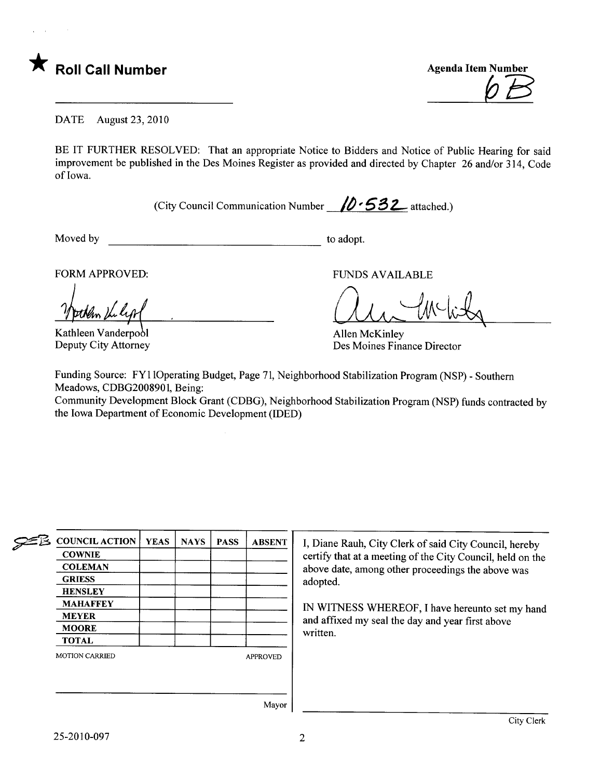

DATE August 23, 2010

BE IT FURTHER RESOLVED: That an appropriate Notice to Bidders and Notice of Public Hearing for said improvement be published in the Des Moines Register as provided and directed by Chapter 26 and/or 314, Code of Iowa.

(City Council Communication Number  $\sqrt{2.532}$  attached.)

Moved by to adopt.

FORM APPROVED:

Kathleen Vanderpool Deputy City Attorney

FUNDS AVAILABLE

 $CMA$ ,  $VV$ ,  $WQ$ 

Allen McKinley Des Moines Finance Director

Funding Source: FY110perating Budget, Page 71, Neighborhood Stabilzation Program (NSP) - Southern Meadows, CDBG2008901, Being:

Community Development Block Grant (CDBG), Neighborhood Stabilization Program (NSP) funds contracted by the Iowa Department of Economic Development (IDED)

| ≘ษี | <b>COUNCIL ACTION</b> | <b>YEAS</b> | <b>NAYS</b> | <b>PASS</b> | <b>ABSENT</b>   |
|-----|-----------------------|-------------|-------------|-------------|-----------------|
|     | <b>COWNIE</b>         |             |             |             |                 |
|     | <b>COLEMAN</b>        |             |             |             |                 |
|     | <b>GRIESS</b>         |             |             |             |                 |
|     | <b>HENSLEY</b>        |             |             |             |                 |
|     | <b>MAHAFFEY</b>       |             |             |             |                 |
|     | <b>MEYER</b>          |             |             |             |                 |
|     | <b>MOORE</b>          |             |             |             |                 |
|     | <b>TOTAL</b>          |             |             |             |                 |
|     | <b>MOTION CARRIED</b> |             |             |             | <b>APPROVED</b> |

I, Diane Rauh, City Clerk of said City Council, hereby certify that at a meeting of the City Council, held on the above date, among other proceedings the above was adopted.

IN WITNESS WHREOF, I have hereunto set my hand and affxed my seal the day and year first above written.

Mayor